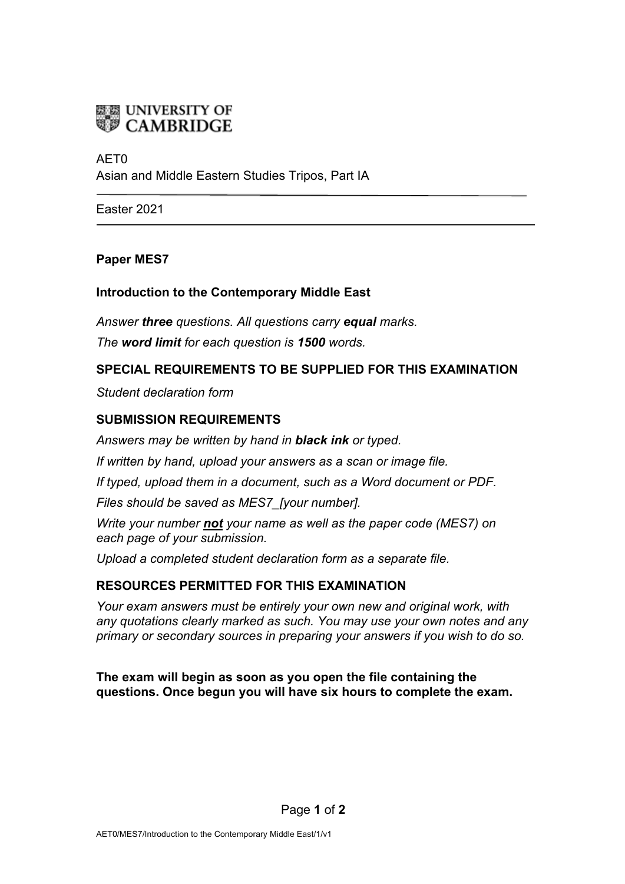

# AET0 Asian and Middle Eastern Studies Tripos, Part IA

Easter 2021

### **Paper MES7**

### **Introduction to the Contemporary Middle East**

*Answer three questions. All questions carry equal marks. The word limit for each question is 1500 words.*

### **SPECIAL REQUIREMENTS TO BE SUPPLIED FOR THIS EXAMINATION**

*Student declaration form*

### **SUBMISSION REQUIREMENTS**

*Answers may be written by hand in black ink or typed.*

*If written by hand, upload your answers as a scan or image file.*

*If typed, upload them in a document, such as a Word document or PDF.*

*Files should be saved as MES7\_[your number].*

*Write your number not your name as well as the paper code (MES7) on each page of your submission.*

*Upload a completed student declaration form as a separate file.*

# **RESOURCES PERMITTED FOR THIS EXAMINATION**

*Your exam answers must be entirely your own new and original work, with any quotations clearly marked as such. You may use your own notes and any primary or secondary sources in preparing your answers if you wish to do so.*

**The exam will begin as soon as you open the file containing the questions. Once begun you will have six hours to complete the exam.**